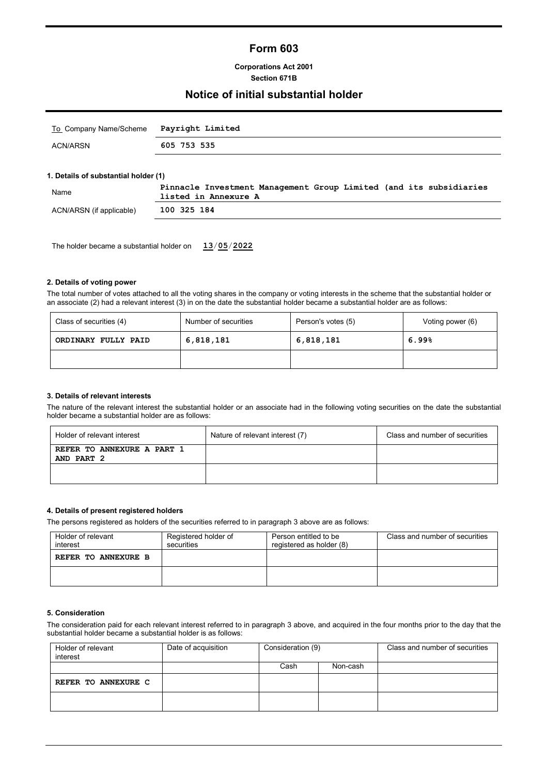# **Form 603**

### **Corporations Act 2001 Section 671B**

## **Notice of initial substantial holder**

| To Company Name/Scheme Payright Limited |             |
|-----------------------------------------|-------------|
| ACN/ARSN                                | 605 753 535 |

### **1. Details of substantial holder (1)**

| Name                     | Pinnacle Investment Management Group Limited (and its subsidiaries<br>listed in Annexure A |
|--------------------------|--------------------------------------------------------------------------------------------|
| ACN/ARSN (if applicable) | 100 325 184                                                                                |

The holder became a substantial holder on **13**/**05**/**2022**

### **2. Details of voting power**

The total number of votes attached to all the voting shares in the company or voting interests in the scheme that the substantial holder or an associate (2) had a relevant interest (3) in on the date the substantial holder became a substantial holder are as follows:

| Class of securities (4) | Number of securities | Person's votes (5) | Voting power (6) |
|-------------------------|----------------------|--------------------|------------------|
| ORDINARY FULLY PAID     | 6,818,181            | 6,818,181          | 6.99%            |
|                         |                      |                    |                  |

#### **3. Details of relevant interests**

The nature of the relevant interest the substantial holder or an associate had in the following voting securities on the date the substantial holder became a substantial holder are as follows:

| Holder of relevant interest              | Nature of relevant interest (7) | Class and number of securities |
|------------------------------------------|---------------------------------|--------------------------------|
| REFER TO ANNEXURE A PART 1<br>AND PART 2 |                                 |                                |
|                                          |                                 |                                |

### **4. Details of present registered holders**

The persons registered as holders of the securities referred to in paragraph 3 above are as follows:

| Holder of relevant<br>interest | Registered holder of<br>Person entitled to be<br>registered as holder (8)<br>securities |  | Class and number of securities |
|--------------------------------|-----------------------------------------------------------------------------------------|--|--------------------------------|
| REFER TO ANNEXURE B            |                                                                                         |  |                                |
|                                |                                                                                         |  |                                |

### **5. Consideration**

The consideration paid for each relevant interest referred to in paragraph 3 above, and acquired in the four months prior to the day that the substantial holder became a substantial holder is as follows:

| Holder of relevant<br>interest | Date of acquisition | Consideration (9) |          | Class and number of securities |
|--------------------------------|---------------------|-------------------|----------|--------------------------------|
|                                |                     | Cash              | Non-cash |                                |
| REFER TO ANNEXURE C            |                     |                   |          |                                |
|                                |                     |                   |          |                                |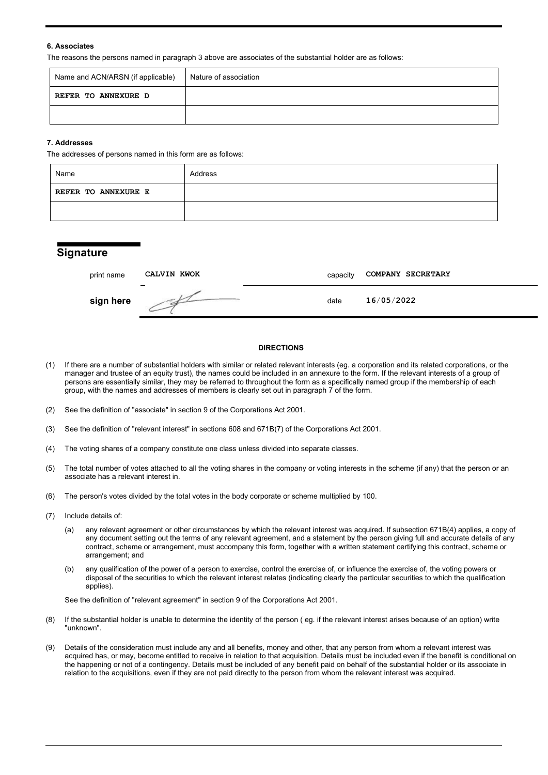### **6. Associates**

The reasons the persons named in paragraph 3 above are associates of the substantial holder are as follows:

| Name and ACN/ARSN (if applicable) | Nature of association |
|-----------------------------------|-----------------------|
| REFER TO ANNEXURE D               |                       |
|                                   |                       |

### **7. Addresses**

The addresses of persons named in this form are as follows:

| Name                       | Address |
|----------------------------|---------|
| <b>REFER TO ANNEXURE E</b> |         |
|                            |         |

## **Signature**

| print name | CALVIN KWOK | capacity | <b>COMPANY SECRETARY</b> |
|------------|-------------|----------|--------------------------|
| sign here  |             | date     | 16/05/2022               |

## **DIRECTIONS**

- (1) If there are a number of substantial holders with similar or related relevant interests (eg. a corporation and its related corporations, or the manager and trustee of an equity trust), the names could be included in an annexure to the form. If the relevant interests of a group of persons are essentially similar, they may be referred to throughout the form as a specifically named group if the membership of each group, with the names and addresses of members is clearly set out in paragraph 7 of the form.
- (2) See the definition of "associate" in section 9 of the Corporations Act 2001.
- (3) See the definition of "relevant interest" in sections 608 and 671B(7) of the Corporations Act 2001.
- (4) The voting shares of a company constitute one class unless divided into separate classes.
- (5) The total number of votes attached to all the voting shares in the company or voting interests in the scheme (if any) that the person or an associate has a relevant interest in.
- (6) The person's votes divided by the total votes in the body corporate or scheme multiplied by 100.
- (7) Include details of:
	- (a) any relevant agreement or other circumstances by which the relevant interest was acquired. If subsection 671B(4) applies, a copy of any document setting out the terms of any relevant agreement, and a statement by the person giving full and accurate details of any contract, scheme or arrangement, must accompany this form, together with a written statement certifying this contract, scheme or arrangement; and
	- (b) any qualification of the power of a person to exercise, control the exercise of, or influence the exercise of, the voting powers or disposal of the securities to which the relevant interest relates (indicating clearly the particular securities to which the qualification applies).

See the definition of "relevant agreement" in section 9 of the Corporations Act 2001.

- (8) If the substantial holder is unable to determine the identity of the person ( eg. if the relevant interest arises because of an option) write "unknown".
- (9) Details of the consideration must include any and all benefits, money and other, that any person from whom a relevant interest was acquired has, or may, become entitled to receive in relation to that acquisition. Details must be included even if the benefit is conditional on the happening or not of a contingency. Details must be included of any benefit paid on behalf of the substantial holder or its associate in relation to the acquisitions, even if they are not paid directly to the person from whom the relevant interest was acquired.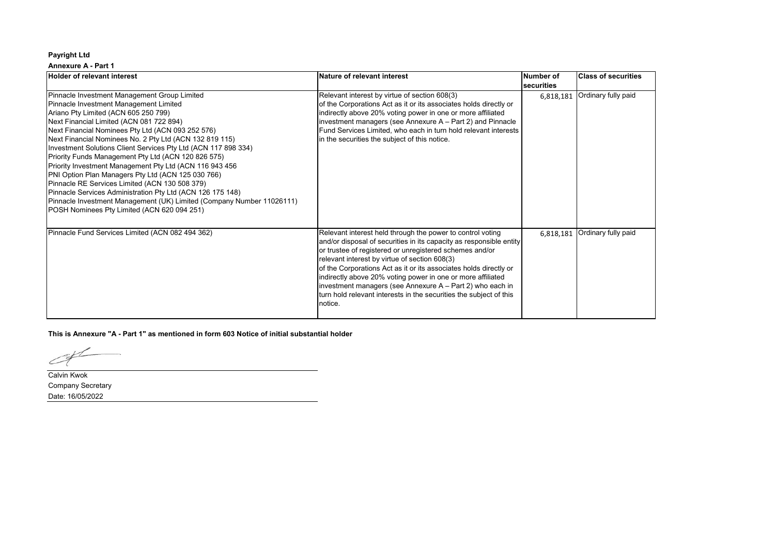### **Annexure A - Part 1**

| <b>Holder of relevant interest</b>                                                                                                                                                                                                                                                                                                                                                                                                                                                                                                                                                                                                                                                                                                                                           | Nature of relevant interest                                                                                                                                                                                                                                                                                                                                                                                                                                                                                                     | Number of                      | <b>Class of securities</b> |
|------------------------------------------------------------------------------------------------------------------------------------------------------------------------------------------------------------------------------------------------------------------------------------------------------------------------------------------------------------------------------------------------------------------------------------------------------------------------------------------------------------------------------------------------------------------------------------------------------------------------------------------------------------------------------------------------------------------------------------------------------------------------------|---------------------------------------------------------------------------------------------------------------------------------------------------------------------------------------------------------------------------------------------------------------------------------------------------------------------------------------------------------------------------------------------------------------------------------------------------------------------------------------------------------------------------------|--------------------------------|----------------------------|
| Pinnacle Investment Management Group Limited<br>Pinnacle Investment Management Limited<br>Ariano Pty Limited (ACN 605 250 799)<br>Next Financial Limited (ACN 081 722 894)<br>Next Financial Nominees Pty Ltd (ACN 093 252 576)<br>Next Financial Nominees No. 2 Pty Ltd (ACN 132 819 115)<br>Investment Solutions Client Services Pty Ltd (ACN 117 898 334)<br>Priority Funds Management Pty Ltd (ACN 120 826 575)<br>Priority Investment Management Pty Ltd (ACN 116 943 456<br>PNI Option Plan Managers Pty Ltd (ACN 125 030 766)<br>Pinnacle RE Services Limited (ACN 130 508 379)<br>Pinnacle Services Administration Pty Ltd (ACN 126 175 148)<br>Pinnacle Investment Management (UK) Limited (Company Number 11026111)<br>POSH Nominees Pty Limited (ACN 620 094 251) | Relevant interest by virtue of section 608(3)<br>of the Corporations Act as it or its associates holds directly or<br>indirectly above 20% voting power in one or more affiliated<br>investment managers (see Annexure A - Part 2) and Pinnacle<br>Fund Services Limited, who each in turn hold relevant interests<br>in the securities the subject of this notice.                                                                                                                                                             | <b>securities</b><br>6,818,181 | Ordinary fully paid        |
| Pinnacle Fund Services Limited (ACN 082 494 362)                                                                                                                                                                                                                                                                                                                                                                                                                                                                                                                                                                                                                                                                                                                             | Relevant interest held through the power to control voting<br>and/or disposal of securities in its capacity as responsible entity<br>or trustee of registered or unregistered schemes and/or<br>relevant interest by virtue of section 608(3)<br>of the Corporations Act as it or its associates holds directly or<br>indirectly above 20% voting power in one or more affiliated<br>investment managers (see Annexure A - Part 2) who each in<br>turn hold relevant interests in the securities the subject of this<br>notice. | 6,818,181                      | Ordinary fully paid        |

**This is Annexure "A - Part 1" as mentioned in form 603 Notice of initial substantial holder**

 $C_{\!\!\!+}$ 

Calvin Kwok Company Secretary Date: 16/05/2022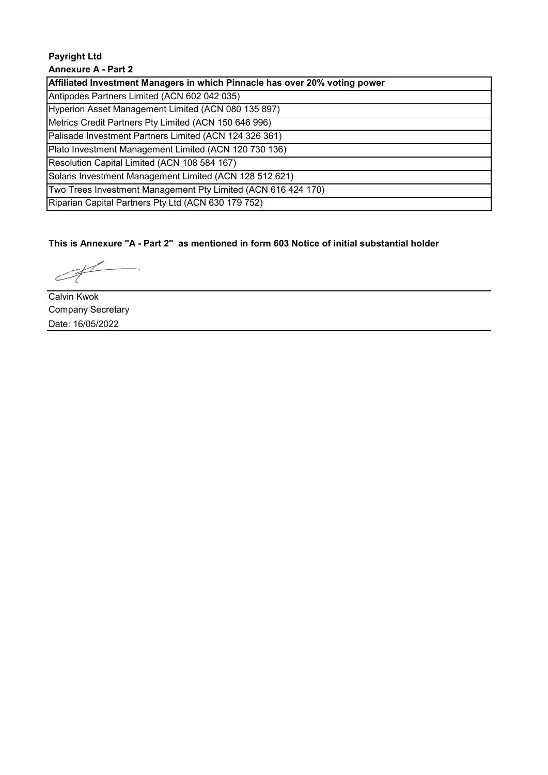# **Payright Ltd Annexure A - Part 2**

| Affiliated Investment Managers in which Pinnacle has over 20% voting power |
|----------------------------------------------------------------------------|
| Antipodes Partners Limited (ACN 602 042 035)                               |
| Hyperion Asset Management Limited (ACN 080 135 897)                        |
| Metrics Credit Partners Pty Limited (ACN 150 646 996)                      |
| Palisade Investment Partners Limited (ACN 124 326 361)                     |
| Plato Investment Management Limited (ACN 120 730 136)                      |
| Resolution Capital Limited (ACN 108 584 167)                               |
| Solaris Investment Management Limited (ACN 128 512 621)                    |
| Two Trees Investment Management Pty Limited (ACN 616 424 170)              |
| Riparian Capital Partners Pty Ltd (ACN 630 179 752)                        |

**This is Annexure "A - Part 2" as mentioned in form 603 Notice of initial substantial holder**

 $\epsilon$ 

Calvin Kwok Company Secretary Date: 16/05/2022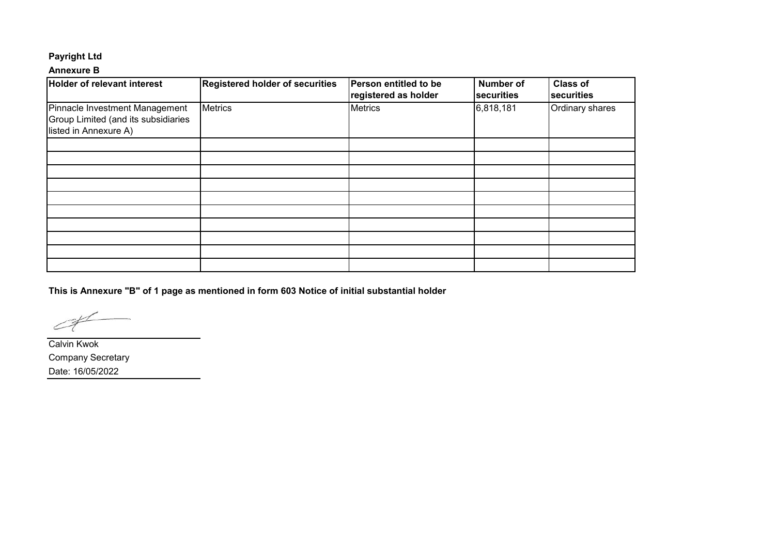## **Annexure B**

| <b>Holder of relevant interest</b>                                                             | <b>Registered holder of securities</b> | Person entitled to be<br>registered as holder | <b>Number of</b><br>securities | <b>Class of</b><br>securities |
|------------------------------------------------------------------------------------------------|----------------------------------------|-----------------------------------------------|--------------------------------|-------------------------------|
| Pinnacle Investment Management<br>Group Limited (and its subsidiaries<br>listed in Annexure A) | <b>Metrics</b>                         | <b>Metrics</b>                                | 6,818,181                      | Ordinary shares               |
|                                                                                                |                                        |                                               |                                |                               |
|                                                                                                |                                        |                                               |                                |                               |
|                                                                                                |                                        |                                               |                                |                               |
|                                                                                                |                                        |                                               |                                |                               |
|                                                                                                |                                        |                                               |                                |                               |
|                                                                                                |                                        |                                               |                                |                               |
|                                                                                                |                                        |                                               |                                |                               |
|                                                                                                |                                        |                                               |                                |                               |
|                                                                                                |                                        |                                               |                                |                               |
|                                                                                                |                                        |                                               |                                |                               |

**This is Annexure "B" of 1 page as mentioned in form 603 Notice of initial substantial holder**

 $\angle$ 

Calvin Kwok Company Secretary Date: 16/05/2022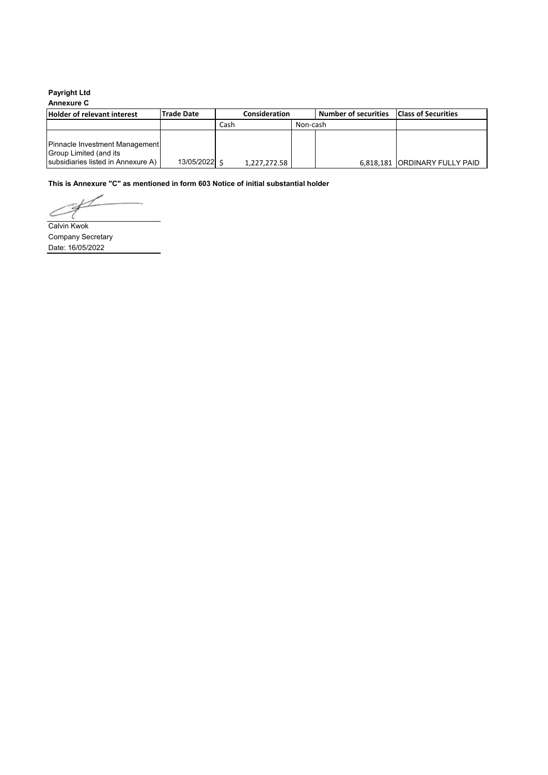## **Annexure C**

| <b>Holder of relevant interest</b>                                                             | <b>Trade Date</b> | <b>Consideration</b> |              |          | <b>Number of securities</b> | <b>Class of Securities</b>    |
|------------------------------------------------------------------------------------------------|-------------------|----------------------|--------------|----------|-----------------------------|-------------------------------|
|                                                                                                |                   | Cash                 |              | Non-cash |                             |                               |
| Pinnacle Investment Management<br>Group Limited (and its<br>subsidiaries listed in Annexure A) | 13/05/2022 \$     |                      | 1,227,272.58 |          |                             | 6,818,181 ORDINARY FULLY PAID |

**This is Annexure "C" as mentioned in form 603 Notice of initial substantial holder**

 $\subset$ Calvin Kwok

Company Secretary Date: 16/05/2022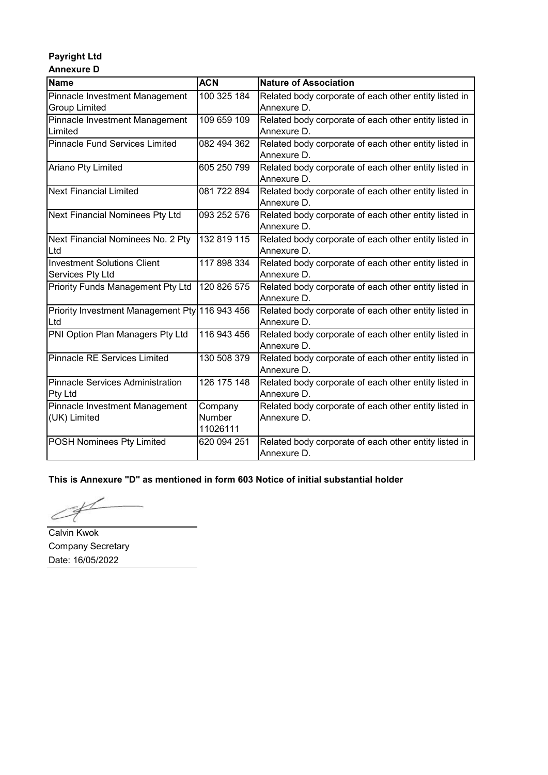## **Payright Ltd Annexure D**

| <b>Name</b>                                    | <b>ACN</b>  | <b>Nature of Association</b>                          |
|------------------------------------------------|-------------|-------------------------------------------------------|
| Pinnacle Investment Management                 | 100 325 184 | Related body corporate of each other entity listed in |
| <b>Group Limited</b>                           |             | Annexure D.                                           |
| Pinnacle Investment Management                 | 109 659 109 | Related body corporate of each other entity listed in |
| Limited                                        |             | Annexure D.                                           |
| <b>Pinnacle Fund Services Limited</b>          | 082 494 362 |                                                       |
|                                                |             | Related body corporate of each other entity listed in |
|                                                |             | Annexure D.                                           |
| Ariano Pty Limited                             | 605 250 799 | Related body corporate of each other entity listed in |
|                                                |             | Annexure D.                                           |
| <b>Next Financial Limited</b>                  | 081 722 894 | Related body corporate of each other entity listed in |
|                                                |             | Annexure D.                                           |
| Next Financial Nominees Pty Ltd                | 093 252 576 | Related body corporate of each other entity listed in |
|                                                |             | Annexure D.                                           |
| Next Financial Nominees No. 2 Pty              | 132 819 115 | Related body corporate of each other entity listed in |
| Ltd                                            |             | Annexure D.                                           |
| <b>Investment Solutions Client</b>             | 117 898 334 | Related body corporate of each other entity listed in |
| Services Pty Ltd                               |             | Annexure D.                                           |
| <b>Priority Funds Management Pty Ltd</b>       | 120 826 575 | Related body corporate of each other entity listed in |
|                                                |             | Annexure D.                                           |
| Priority Investment Management Pty 116 943 456 |             | Related body corporate of each other entity listed in |
| Ltd                                            |             | Annexure D.                                           |
| PNI Option Plan Managers Pty Ltd               | 116 943 456 | Related body corporate of each other entity listed in |
|                                                |             | Annexure D.                                           |
| <b>Pinnacle RE Services Limited</b>            | 130 508 379 | Related body corporate of each other entity listed in |
|                                                |             | Annexure D.                                           |
| Pinnacle Services Administration               | 126 175 148 | Related body corporate of each other entity listed in |
| Pty Ltd                                        |             | Annexure D.                                           |
| Pinnacle Investment Management                 | Company     | Related body corporate of each other entity listed in |
| (UK) Limited                                   | Number      | Annexure D.                                           |
|                                                | 11026111    |                                                       |
| POSH Nominees Pty Limited                      | 620 094 251 | Related body corporate of each other entity listed in |
|                                                |             | Annexure D.                                           |

# **This is Annexure "D" as mentioned in form 603 Notice of initial substantial holder**

Calvin Kwok

Company Secretary Date: 16/05/2022